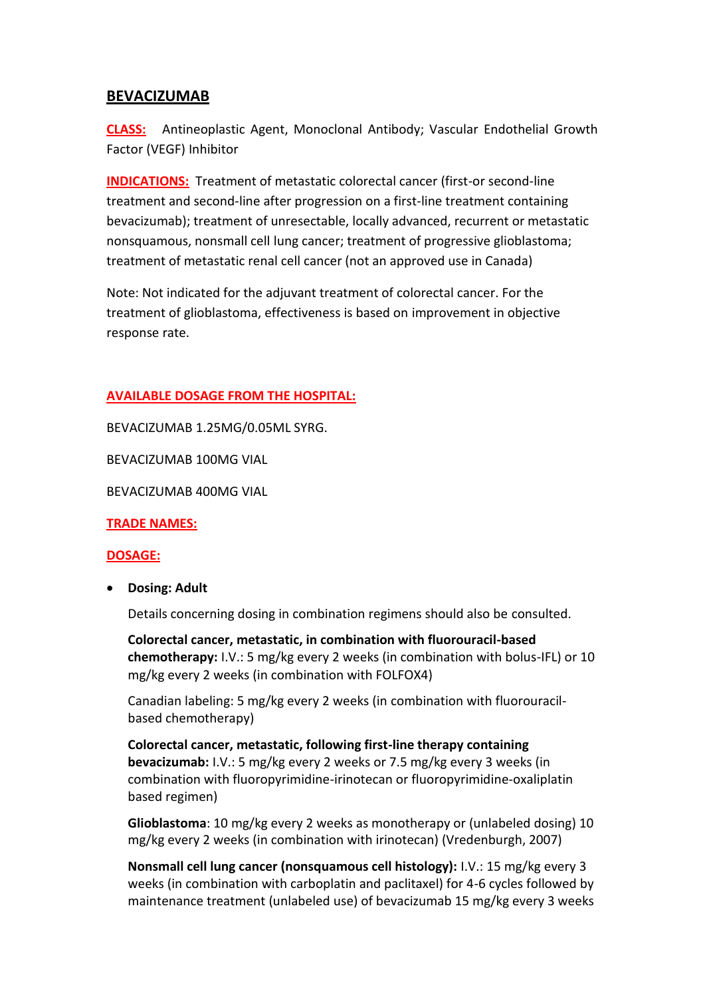# **BEVACIZUMAB**

**CLASS:** Antineoplastic Agent, Monoclonal Antibody; Vascular Endothelial Growth Factor (VEGF) Inhibitor

**INDICATIONS:** Treatment of metastatic colorectal cancer (first-or second-line treatment and second-line after progression on a first-line treatment containing bevacizumab); treatment of unresectable, locally advanced, recurrent or metastatic nonsquamous, nonsmall cell lung cancer; treatment of progressive glioblastoma; treatment of metastatic renal cell cancer (not an approved use in Canada)

Note: Not indicated for the adjuvant treatment of colorectal cancer. For the treatment of glioblastoma, effectiveness is based on improvement in objective response rate.

# **AVAILABLE DOSAGE FROM THE HOSPITAL:**

BEVACIZUMAB 1.25MG/0.05ML SYRG.

BEVACIZUMAB 100MG VIAL

BEVACIZUMAB 400MG VIAL

**TRADE NAMES:**

#### **DOSAGE:**

**Dosing: Adult**

Details concerning dosing in combination regimens should also be consulted.

**Colorectal cancer, metastatic, in combination with fluorouracil-based chemotherapy:** I.V.: 5 mg/kg every 2 weeks (in combination with bolus-IFL) or 10 mg/kg every 2 weeks (in combination with FOLFOX4)

Canadian labeling: 5 mg/kg every 2 weeks (in combination with fluorouracilbased chemotherapy)

**Colorectal cancer, metastatic, following first-line therapy containing bevacizumab:** I.V.: 5 mg/kg every 2 weeks or 7.5 mg/kg every 3 weeks (in combination with fluoropyrimidine-irinotecan or fluoropyrimidine-oxaliplatin based regimen)

**Glioblastoma**: 10 mg/kg every 2 weeks as monotherapy or (unlabeled dosing) 10 mg/kg every 2 weeks (in combination with irinotecan) (Vredenburgh, 2007)

**Nonsmall cell lung cancer (nonsquamous cell histology):** I.V.: 15 mg/kg every 3 weeks (in combination with carboplatin and paclitaxel) for 4-6 cycles followed by maintenance treatment (unlabeled use) of bevacizumab 15 mg/kg every 3 weeks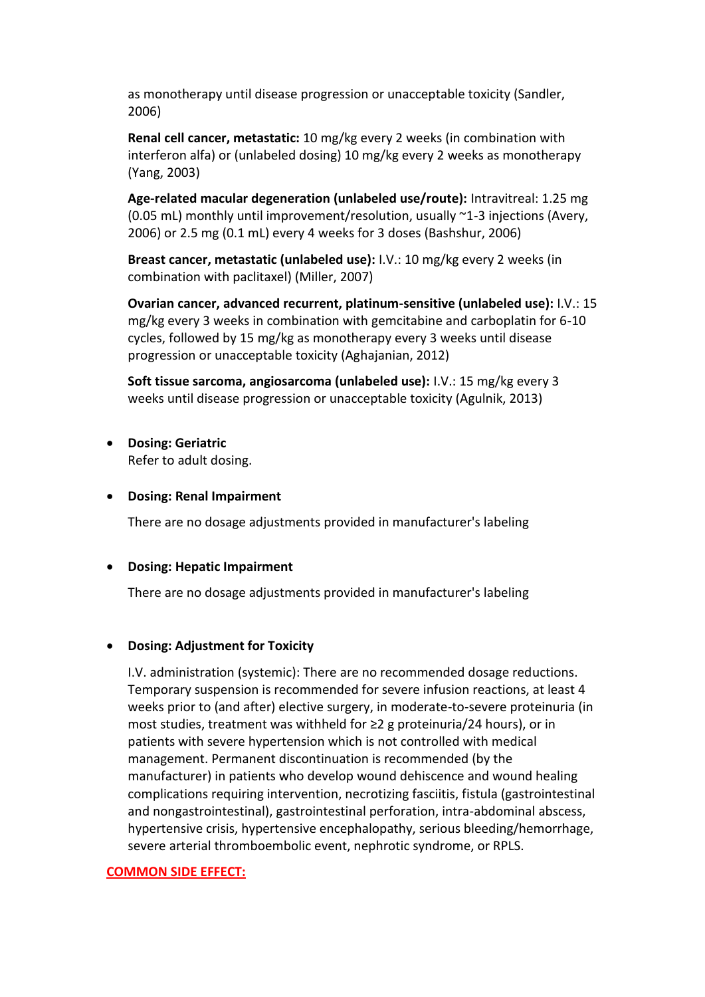as monotherapy until disease progression or unacceptable toxicity (Sandler, 2006)

**Renal cell cancer, metastatic:** 10 mg/kg every 2 weeks (in combination with interferon alfa) or (unlabeled dosing) 10 mg/kg every 2 weeks as monotherapy (Yang, 2003)

**Age-related macular degeneration (unlabeled use/route):** Intravitreal: 1.25 mg (0.05 mL) monthly until improvement/resolution, usually ~1-3 injections (Avery, 2006) or 2.5 mg (0.1 mL) every 4 weeks for 3 doses (Bashshur, 2006)

**Breast cancer, metastatic (unlabeled use):** I.V.: 10 mg/kg every 2 weeks (in combination with paclitaxel) (Miller, 2007)

**Ovarian cancer, advanced recurrent, platinum-sensitive (unlabeled use):** I.V.: 15 mg/kg every 3 weeks in combination with gemcitabine and carboplatin for 6-10 cycles, followed by 15 mg/kg as monotherapy every 3 weeks until disease progression or unacceptable toxicity (Aghajanian, 2012)

**Soft tissue sarcoma, angiosarcoma (unlabeled use):** I.V.: 15 mg/kg every 3 weeks until disease progression or unacceptable toxicity (Agulnik, 2013)

**Dosing: Geriatric**

Refer to adult dosing.

#### **Dosing: Renal Impairment**

There are no dosage adjustments provided in manufacturer's labeling

# **Dosing: Hepatic Impairment**

There are no dosage adjustments provided in manufacturer's labeling

# **Dosing: Adjustment for Toxicity**

I.V. administration (systemic): There are no recommended dosage reductions. Temporary suspension is recommended for severe infusion reactions, at least 4 weeks prior to (and after) elective surgery, in moderate-to-severe proteinuria (in most studies, treatment was withheld for ≥2 g proteinuria/24 hours), or in patients with severe hypertension which is not controlled with medical management. Permanent discontinuation is recommended (by the manufacturer) in patients who develop wound dehiscence and wound healing complications requiring intervention, necrotizing fasciitis, fistula (gastrointestinal and nongastrointestinal), gastrointestinal perforation, intra-abdominal abscess, hypertensive crisis, hypertensive encephalopathy, serious bleeding/hemorrhage, severe arterial thromboembolic event, nephrotic syndrome, or RPLS.

#### **COMMON SIDE EFFECT:**